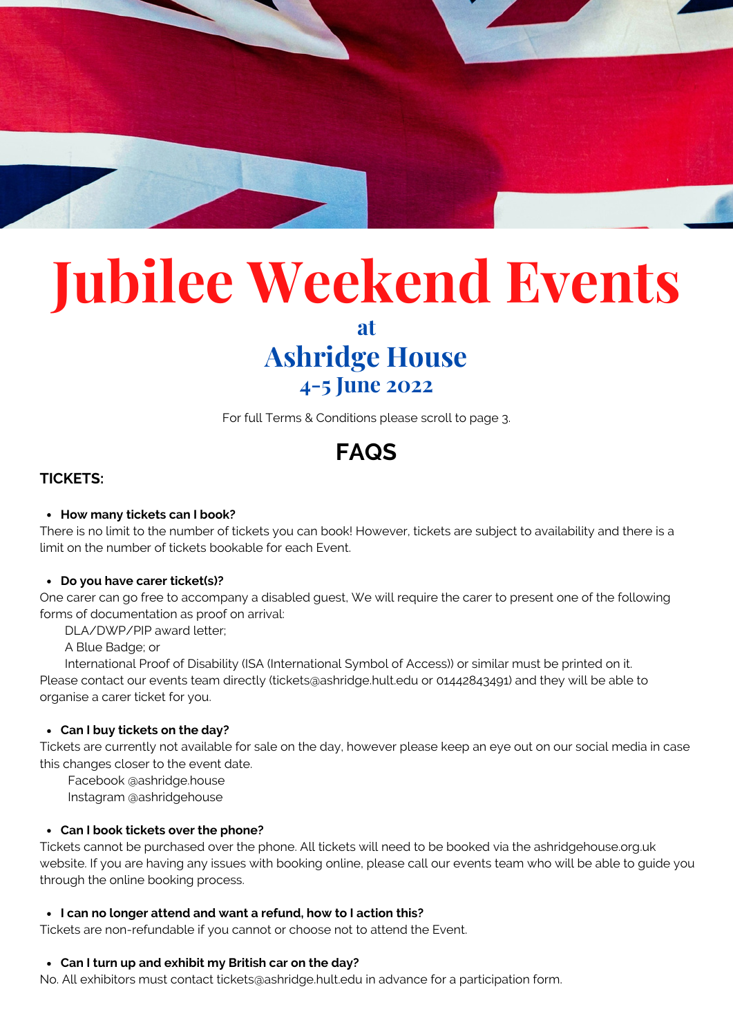

# **Jubilee Weekend Events**

**at**

# **Ashridge House 4-5 June 2022**

For full Terms & Conditions please scroll to page 3.

# **FAQS**

# **TICKETS:**

#### **How many tickets can I book?**

There is no limit to the number of tickets you can book! However, tickets are subject to availability and there is a limit on the number of tickets bookable for each Event.

#### **Do you have carer ticket(s)?**

One carer can go free to accompany a disabled guest, We will require the carer to present one of the following forms of documentation as proof on arrival:

#### DLA/DWP/PIP award letter;

A Blue Badge; or

International Proof of Disability (ISA (International Symbol of Access)) or similar must be printed on it. Please contact our events team directly (tickets@ashridge.hult.edu or 01442843491) and they will be able to organise a carer ticket for you.

# **Can I buy tickets on the day?**

Tickets are currently not available for sale on the day, however please keep an eye out on our social media in case this changes closer to the event date.

Facebook @ashridge.house

Instagram @ashridgehouse

# **Can I book tickets over the phone?**

Tickets cannot be purchased over the phone. All tickets will need to be booked via the ashridgehouse.org.uk website. If you are having any issues with booking online, please call our events team who will be able to guide you through the online booking process.

# **I can no longer attend and want a refund, how to I action this?**

Tickets are non-refundable if you cannot or choose not to attend the Event.

# **Can I turn up and exhibit my British car on the day?**

No. All exhibitors must contact tickets@ashridge.hult.edu in advance for a participation form.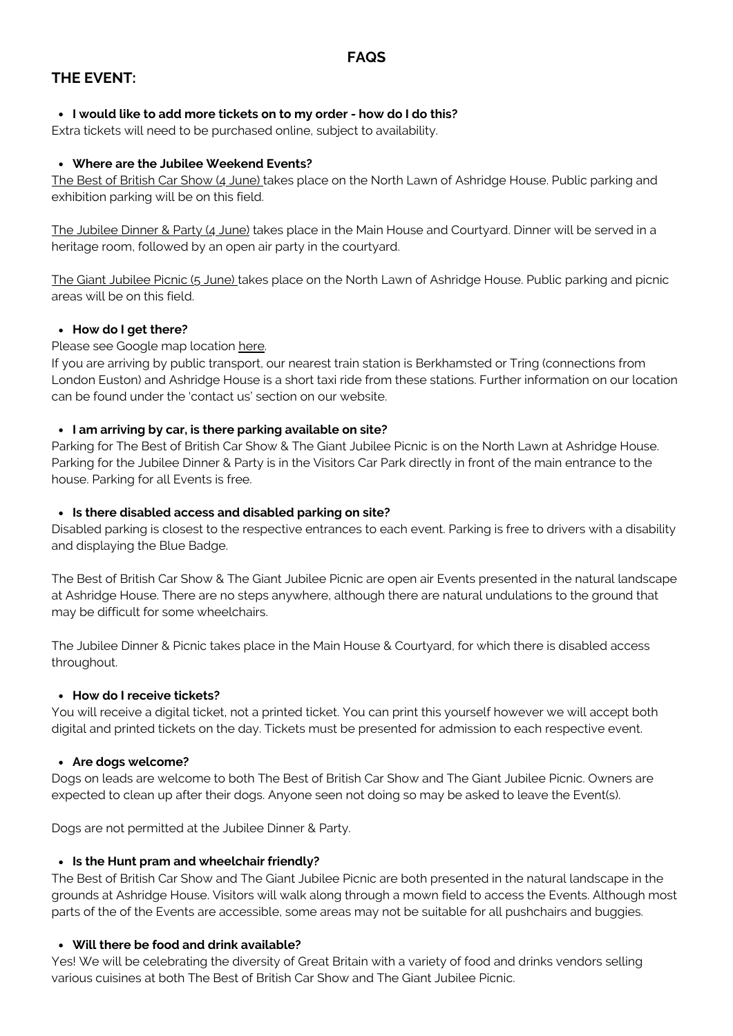# **THE EVENT:**

# **I would like to add more tickets on to my order - how do I do this?**

Extra tickets will need to be purchased online, subject to availability.

# **Where are the Jubilee Weekend Events?**

The Best of British Car Show (4 June) takes place on the North Lawn of Ashridge House. Public parking and exhibition parking will be on this field.

The Jubilee Dinner & Party (4 June) takes place in the Main House and Courtyard. Dinner will be served in a heritage room, followed by an open air party in the courtyard.

The Giant Jubilee Picnic (5 June) takes place on the North Lawn of Ashridge House. Public parking and picnic areas will be on this field.

# **How do I get there?**

# Please see Google map location [here](https://www.google.co.uk/maps/place/Ashridge+House/@51.7992465,-0.5649096,16z/data=!4m5!3m4!1s0x487645769278a115:0x7e34994d20bf91ed!8m2!3d51.7992432!4d-0.5605322).

If you are arriving by public transport, our nearest train station is Berkhamsted or Tring (connections from London Euston) and Ashridge House is a short taxi ride from these stations. Further information on our location can be found under the 'contact us' section on our website.

# **I am arriving by car, is there parking available on site?**

Parking for The Best of British Car Show & The Giant Jubilee Picnic is on the North Lawn at Ashridge House. Parking for the Jubilee Dinner & Party is in the Visitors Car Park directly in front of the main entrance to the house. Parking for all Events is free.

# **Is there disabled access and disabled parking on site?**

Disabled parking is closest to the respective entrances to each event. Parking is free to drivers with a disability and displaying the Blue Badge.

The Best of British Car Show & The Giant Jubilee Picnic are open air Events presented in the natural landscape at Ashridge House. There are no steps anywhere, although there are natural undulations to the ground that may be difficult for some wheelchairs.

The Jubilee Dinner & Picnic takes place in the Main House & Courtyard, for which there is disabled access throughout.

# **How do I receive tickets?**

You will receive a digital ticket, not a printed ticket. You can print this yourself however we will accept both digital and printed tickets on the day. Tickets must be presented for admission to each respective event.

# **Are dogs welcome?**

Dogs on leads are welcome to both The Best of British Car Show and The Giant Jubilee Picnic. Owners are expected to clean up after their dogs. Anyone seen not doing so may be asked to leave the Event(s).

Dogs are not permitted at the Jubilee Dinner & Party.

# **Is the Hunt pram and wheelchair friendly?**

The Best of British Car Show and The Giant Jubilee Picnic are both presented in the natural landscape in the grounds at Ashridge House. Visitors will walk along through a mown field to access the Events. Although most parts of the of the Events are accessible, some areas may not be suitable for all pushchairs and buggies.

# **Will there be food and drink available?**

Yes! We will be celebrating the diversity of Great Britain with a variety of food and drinks vendors selling various cuisines at both The Best of British Car Show and The Giant Jubilee Picnic.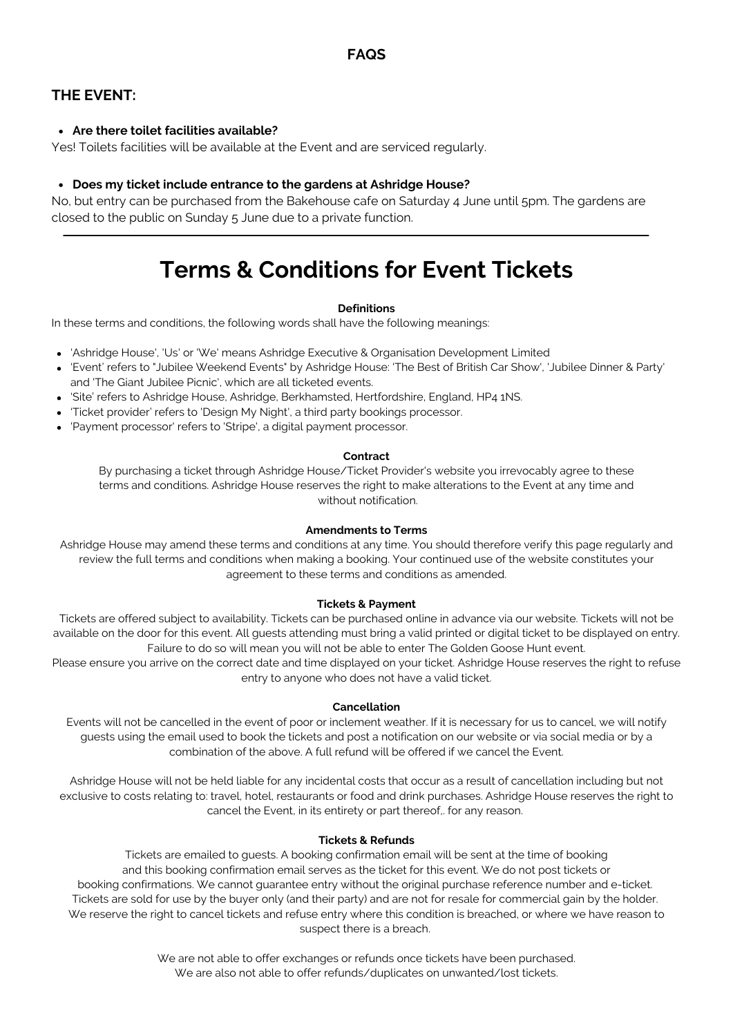# **THE EVENT:**

# **Are there toilet facilities available?**

Yes! Toilets facilities will be available at the Event and are serviced regularly.

#### **Does my ticket include entrance to the gardens at Ashridge House?**

No, but entry can be purchased from the Bakehouse cafe on Saturday 4 June until 5pm. The gardens are closed to the public on Sunday 5 June due to a private function.

# **Terms & Conditions for Event Tickets**

#### **Definitions**

In these terms and conditions, the following words shall have the following meanings:

- 'Ashridge House', 'Us' or 'We' means Ashridge Executive & Organisation Development Limited
- 'Event' refers to "Jubilee Weekend Events" by Ashridge House: 'The Best of British Car Show', 'Jubilee Dinner & Party' and 'The Giant Jubilee Picnic', which are all ticketed events.
- 'Site' refers to Ashridge House, Ashridge, Berkhamsted, Hertfordshire, England, HP4 1NS.
- 'Ticket provider' refers to 'Design My Night', a third party bookings processor.
- 'Payment processor' refers to 'Stripe', a digital payment processor.

#### **Contract**

By purchasing a ticket through Ashridge House/Ticket Provider's website you irrevocably agree to these terms and conditions. Ashridge House reserves the right to make alterations to the Event at any time and without notification.

#### **Amendments to Terms**

Ashridge House may amend these terms and conditions at any time. You should therefore verify this page regularly and review the full terms and conditions when making a booking. Your continued use of the website constitutes your agreement to these terms and conditions as amended.

#### **Tickets & Payment**

Tickets are offered subject to availability. Tickets can be purchased online in advance via our website. Tickets will not be available on the door for this event. All guests attending must bring a valid printed or digital ticket to be displayed on entry. Failure to do so will mean you will not be able to enter The Golden Goose Hunt event.

Please ensure you arrive on the correct date and time displayed on your ticket. Ashridge House reserves the right to refuse entry to anyone who does not have a valid ticket.

#### **Cancellation**

Events will not be cancelled in the event of poor or inclement weather. If it is necessary for us to cancel, we will notify guests using the email used to book the tickets and post a notification on our website or via social media or by a combination of the above. A full refund will be offered if we cancel the Event.

Ashridge House will not be held liable for any incidental costs that occur as a result of cancellation including but not exclusive to costs relating to: travel, hotel, restaurants or food and drink purchases. Ashridge House reserves the right to cancel the Event, in its entirety or part thereof,. for any reason.

#### **Tickets & Refunds**

Tickets are emailed to guests. A booking confirmation email will be sent at the time of booking and this booking confirmation email serves as the ticket for this event. We do not post tickets or booking confirmations. We cannot guarantee entry without the original purchase reference number and e-ticket. Tickets are sold for use by the buyer only (and their party) and are not for resale for commercial gain by the holder. We reserve the right to cancel tickets and refuse entry where this condition is breached, or where we have reason to suspect there is a breach.

> We are not able to offer exchanges or refunds once tickets have been purchased. We are also not able to offer refunds/duplicates on unwanted/lost tickets.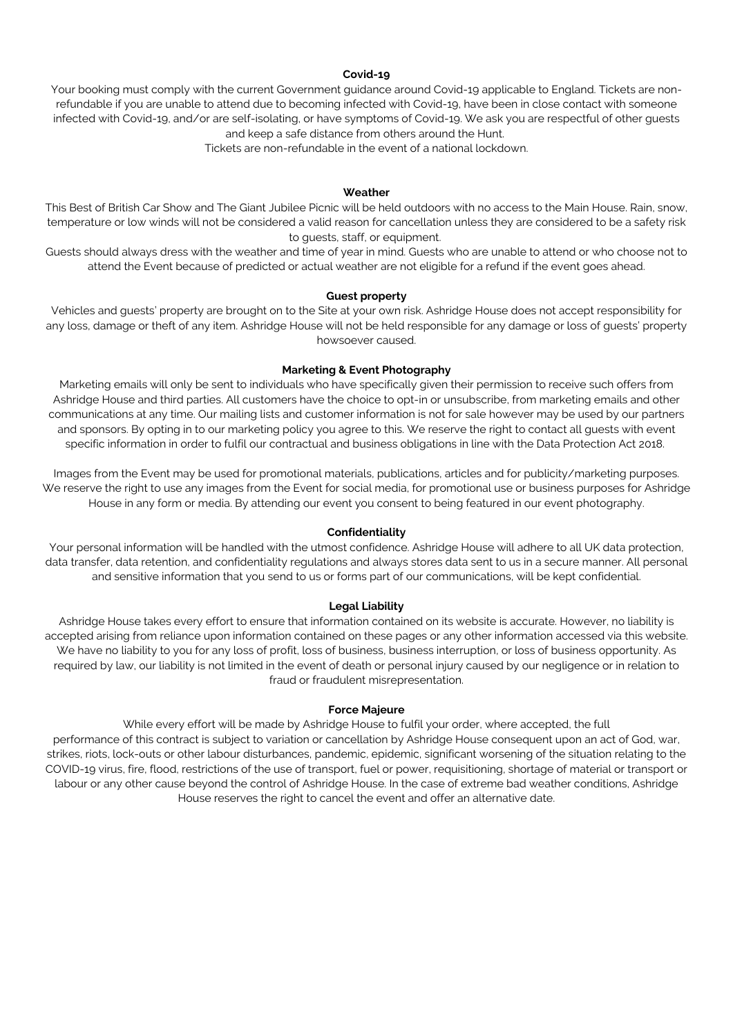#### **Covid-19**

Your booking must comply with the current Government guidance around Covid-19 applicable to England. Tickets are nonrefundable if you are unable to attend due to becoming infected with Covid-19, have been in close contact with someone infected with Covid-19, and/or are self-isolating, or have symptoms of Covid-19. We ask you are respectful of other guests and keep a safe distance from others around the Hunt.

Tickets are non-refundable in the event of a national lockdown.

#### **Weather**

This Best of British Car Show and The Giant Jubilee Picnic will be held outdoors with no access to the Main House. Rain, snow, temperature or low winds will not be considered a valid reason for cancellation unless they are considered to be a safety risk to guests, staff, or equipment.

Guests should always dress with the weather and time of year in mind. Guests who are unable to attend or who choose not to attend the Event because of predicted or actual weather are not eligible for a refund if the event goes ahead.

#### **Guest property**

Vehicles and guests' property are brought on to the Site at your own risk. Ashridge House does not accept responsibility for any loss, damage or theft of any item. Ashridge House will not be held responsible for any damage or loss of guests' property howsoever caused.

#### **Marketing & Event Photography**

Marketing emails will only be sent to individuals who have specifically given their permission to receive such offers from Ashridge House and third parties. All customers have the choice to opt-in or unsubscribe, from marketing emails and other communications at any time. Our mailing lists and customer information is not for sale however may be used by our partners and sponsors. By opting in to our marketing policy you agree to this. We reserve the right to contact all guests with event specific information in order to fulfil our contractual and business obligations in line with the Data Protection Act 2018.

Images from the Event may be used for promotional materials, publications, articles and for publicity/marketing purposes. We reserve the right to use any images from the Event for social media, for promotional use or business purposes for Ashridge House in any form or media. By attending our event you consent to being featured in our event photography.

#### **Confidentiality**

Your personal information will be handled with the utmost confidence. Ashridge House will adhere to all UK data protection, data transfer, data retention, and confidentiality regulations and always stores data sent to us in a secure manner. All personal and sensitive information that you send to us or forms part of our communications, will be kept confidential.

#### **Legal Liability**

Ashridge House takes every effort to ensure that information contained on its website is accurate. However, no liability is accepted arising from reliance upon information contained on these pages or any other information accessed via this website. We have no liability to you for any loss of profit, loss of business, business interruption, or loss of business opportunity. As required by law, our liability is not limited in the event of death or personal injury caused by our negligence or in relation to fraud or fraudulent misrepresentation.

#### **Force Majeure**

While every effort will be made by Ashridge House to fulfil your order, where accepted, the full performance of this contract is subject to variation or cancellation by Ashridge House consequent upon an act of God, war, strikes, riots, lock-outs or other labour disturbances, pandemic, epidemic, significant worsening of the situation relating to the COVID-19 virus, fire, flood, restrictions of the use of transport, fuel or power, requisitioning, shortage of material or transport or labour or any other cause beyond the control of Ashridge House. In the case of extreme bad weather conditions, Ashridge House reserves the right to cancel the event and offer an alternative date.